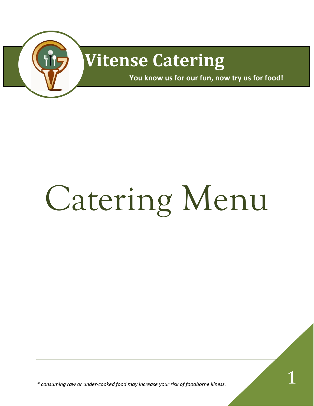

# **Vitense Catering**

**You know us for our fun, now try us for food!** 

# Catering Menu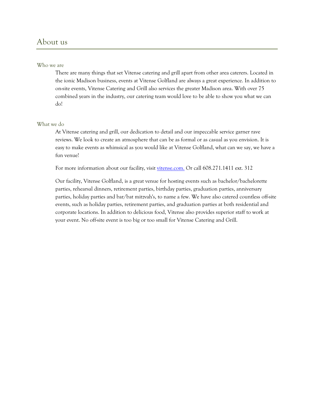# About us

#### Who we are

There are many things that set Vitense catering and grill apart from other area caterers. Located in the ionic Madison business, events at Vitense Golfland are always a great experience. In addition to on-site events, Vitense Catering and Grill also services the greater Madison area. With over 75 combined years in the industry, our catering team would love to be able to show you what we can do!

#### What we do

At Vitense catering and grill, our dedication to detail and our impeccable service garner rave reviews. We look to create an atmosphere that can be as formal or as casual as you envision. It is easy to make events as whimsical as you would like at Vitense Golfland, what can we say, we have a fun venue!

For more information about our facility, visit [vitense.com.](http://www.vitense.com/events/) Or call 608.271.1411 ext. 312

Our facility, Vitense Golfland, is a great venue for hosting events such as bachelor/bachelorette parties, rehearsal dinners, retirement parties, birthday parties, graduation parties, anniversary parties, holiday parties and bar/bat mitzvah's, to name a few. We have also catered countless off-site events, such as holiday parties, retirement parties, and graduation parties at both residential and corporate locations. In addition to delicious food, Vitense also provides superior staff to work at your event. No off-site event is too big or too small for Vitense Catering and Grill.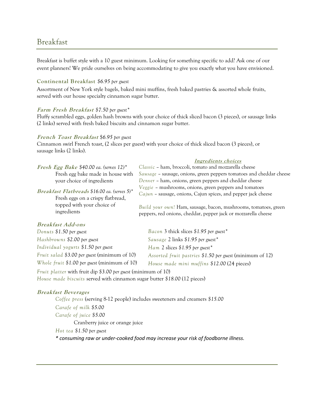# Breakfast

Breakfast is buffet style with a 10 guest minimum. Looking for something specific to add? Ask one of our event planners! We pride ourselves on being accommodating to give you exactly what you have envisioned.

#### **Continental Breakfast** *\$6.95 per guest*

Assortment of New York style bagels, baked mini muffins, fresh baked pastries & assorted whole fruits, served with our house specialty cinnamon sugar butter.

#### **Farm Fresh Breakfast** *\$7.50 per guest\**

Fluffy scrambled eggs, golden hash browns with your choice of thick sliced bacon (3 pieces), or sausage links (2 links) served with fresh baked biscuits and cinnamon sugar butter.

#### **French Toast Breakfast** \$*6.95 per guest*

Cinnamon swirl French toast, (2 slices per guest) with your choice of thick sliced bacon (3 pieces), or sausage links (2 links).

|                                                                                                                                | Ingredients choices                                                                                                               |
|--------------------------------------------------------------------------------------------------------------------------------|-----------------------------------------------------------------------------------------------------------------------------------|
| <i>Fresh Egg Bake</i> \$40.00 ea. (serves $12$ )*                                                                              | Classic - ham, broccoli, tomato and mozzarella cheese                                                                             |
| Fresh egg bake made in house with                                                                                              | Sausage - sausage, onions, green peppers tomatoes and cheddar cheese                                                              |
| your choice of ingredients                                                                                                     | Denver - ham, onions, green peppers and cheddar cheese                                                                            |
| Breakfast Flatbreads \$16.00 ea. (serves 5)*<br>Fresh eggs on a crispy flatbread,<br>topped with your choice of<br>ingredients | Veggie - mushrooms, onions, green peppers and tomatoes<br>Cajun – sausage, onions, Cajun spices, and pepper jack cheese           |
|                                                                                                                                | Build your own! Ham, sausage, bacon, mushrooms, tomatoes, green<br>peppers, red onions, cheddar, pepper jack or mozzarella cheese |

#### **Breakfast Add-ons**

| Donuts \$1.50 per guest                                       | Bacon 3 thick slices \$1.95 per guest*                   |  |  |
|---------------------------------------------------------------|----------------------------------------------------------|--|--|
| Hashbrowns \$2.00 per guest                                   | Sausage 2 links \$1.95 per guest*                        |  |  |
| Individual yogurts \$1.50 per guest                           | Ham 2 slices \$1.95 per guest*                           |  |  |
| Fruit salad \$3.00 per guest (minimum of 10)                  | Assorted fruit pastries \$1.50 per guest (minimum of 12) |  |  |
| Whole fruit $$1.00$ per guest (minimum of 10)                 | House made mini muffins \$12.00 (24 pieces)              |  |  |
| Fruit platter with fruit dip \$3.00 per guest (minimum of 10) |                                                          |  |  |

*House made biscuits* served with cinnamon sugar butter *\$18.00* (12 pieces)

#### **Breakfast Beverages**

*Coffee press* (serving 8-12 people) includes sweeteners and creamers *\$15.00 Carafe of milk \$5.00 Carafe of juice \$5.00*  Cranberry juice or orange juice *Hot tea \$1.50 per guest \* consuming raw or under-cooked food may increase your risk of foodborne illness.*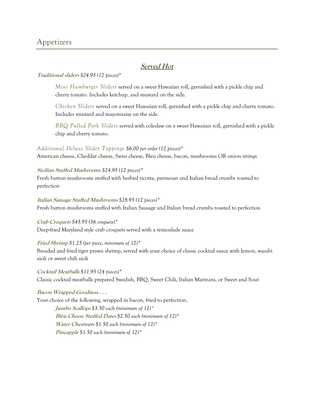# **Served Hot**

#### **Traditional sliders** *\$24.95 (12 pieces)\**

*Mini Hamburger Sliders* served on a sweet Hawaiian roll, garnished with a pickle chip and cherry tomato. Includes ketchup, and mustard on the side.

*Chicken Sliders* served on a sweet Hawaiian roll, garnished with a pickle chip and cherry tomato. Includes mustard and mayonnaise on the side.

*BBQ Pulled Pork Sliders* served with coleslaw on a sweet Hawaiian roll, garnished with a pickle chip and cherry tomato.

#### *Additional Deluxe Slider Toppings \$6.00 per order (12 pieces)\**

American cheese, Cheddar cheese, Swiss cheese, Bleu cheese, bacon, mushrooms OR onion strings

#### **Sicilian Stuffed Mushrooms** *\$24.95 (12 pieces)\**

Fresh button mushrooms stuffed with herbed ricotta, parmesan and Italian bread crumbs roasted to perfection

#### **Italian Sausage Stuffed Mushrooms** *\$28.95 (12 pieces)\**

Fresh button mushrooms stuffed with Italian Sausage and Italian bread crumbs roasted to perfection

#### **Crab Croquets** *\$45.95 (36 croquets)\**

Deep-fried Maryland style crab croquets served with a remoulade sauce

#### **Fried Shrimp** *\$1.25 (per piece, minimum of 12)\**

Breaded and fried tiger prawn shrimp, served with your choice of classic cocktail sauce with lemon, wasabi aioli or sweet chili aioli

#### **Cocktail Meatballs** \$*11.95 (24 pieces)\**

Classic cocktail meatballs prepared Swedish, BBQ, Sweet Chili, Italian Marinara, or Sweet and Sour

#### **Bacon Wrapped Goodness . . .**

Your choice of the following, wrapped in bacon, fried to perfection.

**Jumbo Scallops** *\$3.50 each (minimum of 12)***\* Bleu Cheese Stuffed Dates** *\$2.50 each (minimum of 12)\** **Water Chestnuts** *\$1.50 each (minimum of 12)\** **Pineapple** *\$1.50 each (minimum of 12)\**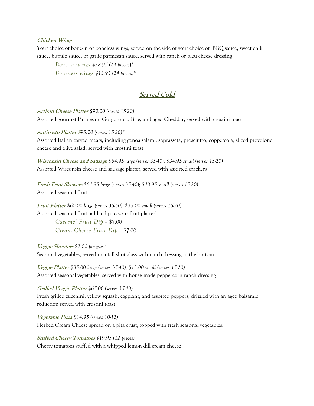#### **Chicken Wings**

Your choice of bone-in or boneless wings, served on the side of your choice of BBQ sauce, sweet chili sauce, buffalo sauce, or garlic parmesan sauce, served with ranch or bleu cheese dressing

*Bone-in wings \$28.95 (24 piece*s)\* *Bone-less wings \$13.95 (24 pieces)\**

## **Served Cold**

**Artisan Cheese Platter** *\$90.00 (serves 15-20)* Assorted gourmet Parmesan, Gorgonzola, Brie, and aged Cheddar, served with crostini toast

**Antipasto Platter \$***95.00 (serves 15-20)\** Assorted Italian carved meats, including genoa salami, soprasseta, prosciutto, coppercola, sliced provolone cheese and olive salad, served with crostini toast

**Wisconsin Cheese and Sausage** *\$64.95 large (serves 35-40), \$34.95 small (serves 15-20)* Assorted Wisconsin cheese and sausage platter, served with assorted crackers

**Fresh Fruit Skewers** *\$64.95 large (serves 35-40); \$40.95 small (serves 15-20)* Assorted seasonal fruit

**Fruit Platter** *\$60.00 large (serves 35-40), \$35.00 small (serves 15-20)* Assorted seasonal fruit, add a dip to your fruit platter!

> *Caramel Fruit Dip* – \$7.00 *Cream Cheese Fruit Dip* – \$7.00

**Veggie Shooters** *\$2.00 per guest* Seasonal vegetables, served in a tall shot glass with ranch dressing in the bottom

**Veggie Platter** *\$35.00 large (serves 35-40), \$13.00 small (serves 15-20)* Assorted seasonal vegetables, served with house made peppercorn ranch dressing

**Grilled Veggie Platter** *\$65.00 (serves 35-40)* Fresh grilled zucchini, yellow squash, eggplant, and assorted peppers, drizzled with an aged balsamic reduction served with crostini toast

**Vegetable Pizza** *\$14.95 (serves 10-12)* Herbed Cream Cheese spread on a pita crust, topped with fresh seasonal vegetables.

**Stuffed Cherry Tomatoes** *\$19.95 (12 pieces)* Cherry tomatoes stuffed with a whipped lemon dill cream cheese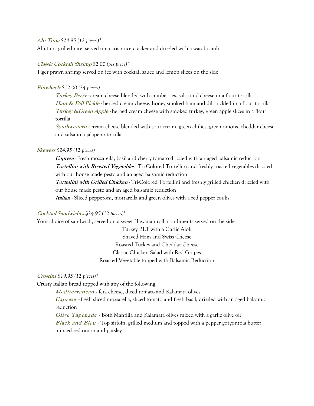#### **Ahi Tuna** *\$24.95 (12 pieces)\**

Ahi tuna grilled rare, served on a crisp rice cracker and drizzled with a wasabi aioli

#### **Classic Cocktail Shrimp** *\$2.00 (per piece)\**

Tiger prawn shrimp served on ice with cocktail sauce and lemon slices on the side

#### **Pinwheels** *\$12.00 (24 pieces)*

**Turkey Berry -** cream cheese blended with cranberries, salsa and cheese in a flour tortilla **Ham & Dill Pickle -** herbed cream cheese, honey smoked ham and dill pickled in a flour tortilla **Turkey &Green Apple -** herbed cream cheese with smoked turkey, green apple slices in a flour tortilla

**Southwestern -** cream cheese blended with sour cream, green chilies, green onions, cheddar cheese and salsa in a jalapeno tortilla

#### **Skewers** \$*24.95 (12 pieces)*

**Caprese** *-* Fresh mozzarella, basil and cherry tomato drizzled with an aged balsamic reduction **Tortellini with Roasted Vegetables** *-* Tri-Colored Tortellini and freshly roasted vegetables drizzled with our house made pesto and an aged balsamic reduction

**Tortellini with Grilled Chicken** *-* Tri-Colored Tortellini and freshly grilled chicken drizzled with our house made pesto and an aged balsamic reduction

**Italian -** Sliced pepperoni, mozzarella and green olives with a red pepper coulis.

#### **Cocktail Sandwiches** *\$24.95 (12 pieces)*\*

Your choice of sandwich, served on a sweet Hawaiian roll, condiments served on the side

Turkey BLT with a Garlic Aioli Shaved Ham and Swiss Cheese Roasted Turkey and Cheddar Cheese Classic Chicken Salad with Red Grapes Roasted Vegetable topped with Balsamic Reduction

#### **Crostini** *\$19.95 (12 pieces)\**

Crusty Italian bread topped with any of the following:

**Mediterranean** - feta cheese, diced tomato and Kalamata olives

**Caprese -** fresh sliced mozzarella, sliced tomato and fresh basil, drizzled with an aged balsamic reduction

**Olive Tapenade -** Both Mantilla and Kalamata olives mixed with a garlic olive oil **Black and Bleu -** Top sirloin, grilled medium and topped with a pepper gorgonzola butter, minced red onion and parsley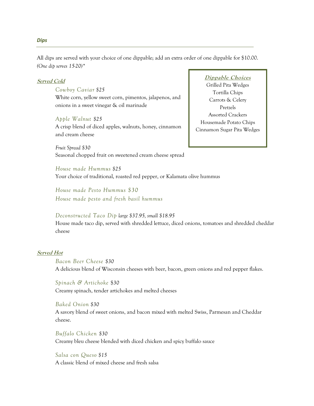All dips are served with your choice of one dippable; add an extra order of one dippable for \$10.00. *(One dip serves 15-20)\**

#### **Served Cold**

*Cowboy Caviar \$25* White corn, yellow sweet corn, pimentos, jalapenos, and onions in a sweet vinegar & oil marinade

#### *Apple Walnut \$25*

A crisp blend of diced apples, walnuts, honey, cinnamon and cream cheese

*Fruit Spread \$30*  Seasonal chopped fruit on sweetened cream cheese spread

#### **Dippable Choices**

Grilled Pita Wedges Tortilla Chips Carrots & Celery Pretzels Assorted Crackers Housemade Potato Chips Cinnamon Sugar Pita Wedges

*House made Hummus \$25* Your choice of traditional, roasted red pepper, or Kalamata olive hummus

*House made Pesto Hummus \$30 House made pesto and fresh basil hummus* 

#### *Deconstructed Taco Dip large \$37.95, small \$18.95*

House made taco dip, served with shredded lettuce, diced onions, tomatoes and shredded cheddar cheese

#### **Served Hot**

*Bacon Beer Cheese \$30* A delicious blend of Wisconsin cheeses with beer, bacon, green onions and red pepper flakes.

*Spinach & Artichoke* \$*30* Creamy spinach, tender artichokes and melted cheeses

*Baked Onion \$30* A savory blend of sweet onions, and bacon mixed with melted Swiss, Parmesan and Cheddar cheese.

*Buffalo Chicken \$30* Creamy bleu cheese blended with diced chicken and spicy buffalo sauce

*Salsa con Queso \$15* A classic blend of mixed cheese and fresh salsa

#### *Dips*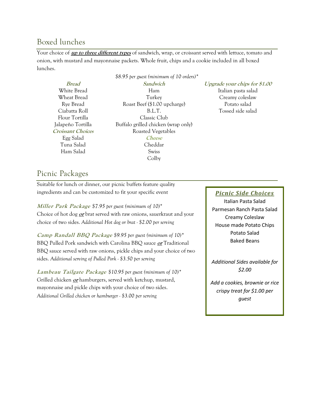# Boxed lunches

Your choice of **up to three different types** of sandwich, wrap, or croissant served with lettuce, tomato and onion, with mustard and mayonnaise packets. Whole fruit, chips and a cookie included in all boxed lunches.

|                          | \$8.95 per guest (minimum of 10 orders)* |                                      |
|--------------------------|------------------------------------------|--------------------------------------|
| <b>Bread</b>             | Sandwich                                 | <i>Upgrade your chips for \$1.00</i> |
| White Bread              | Ham                                      | Italian pasta salad                  |
| Wheat Bread              | Turkey                                   | Creamy coleslaw                      |
| Rye Bread                | Roast Beef (\$1.00 upcharge)             | Potato salad                         |
| Ciabatta Roll            | B.L.T.                                   | Tossed side salad                    |
| Flour Tortilla           | Classic Club                             |                                      |
| Jalapeño Tortilla        | Buffalo grilled chicken (wrap only)      |                                      |
| <b>Croissant Choices</b> | Roasted Vegetables                       |                                      |
| Egg Salad                | <i>Cheese</i>                            |                                      |
| Tuna Salad               | Cheddar                                  |                                      |
| Ham Salad                | <b>Swiss</b>                             |                                      |
|                          | Colby                                    |                                      |
|                          |                                          |                                      |

# Picnic Packages

Suitable for lunch or dinner, our picnic buffets feature quality ingredients and can be customized to fit your specific event

**Miller Park Package** *\$7.95 per guest (minimum of 10)\** Choice of hot dog **or** brat served with raw onions, sauerkraut and your choice of two sides. *Additional Hot dog or brat - \$2.00 per serving*

**Camp Randall BBQ Package** *\$9.95 per guest (minimum of 10)\** BBQ Pulled Pork sandwich with Carolina BBQ sauce **or** Traditional BBQ sauce served with raw onions, pickle chips and your choice of two sides. *Additional serving of Pulled Pork - \$3.50 per serving*

**Lambeau Tailgate Package** *\$10.95 per guest (minimum of 10)\** Grilled chicken **or** hamburgers, served with ketchup, mustard, mayonnaise and pickle chips with your choice of two sides. *Additional Grilled chicken or hamburger - \$3.00 per serving*

#### *Picnic Side Choices*

Italian Pasta Salad Parmesan Ranch Pasta Salad Creamy Coleslaw House made Potato Chips Potato Salad Baked Beans

*Additional Sides available for \$2.00*

*Add a cookies, brownie or rice crispy treat for \$1.00 per guest*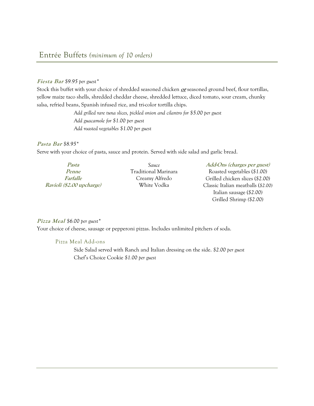#### **Fiesta Bar** *\$9.95 per guest\**

Stock this buffet with your choice of shredded seasoned chicken **or** seasoned ground beef, flour tortillas, yellow maize taco shells, shredded cheddar cheese, shredded lettuce, diced tomato, sour cream, chunky salsa, refried beans, Spanish infused rice, and tri-color tortilla chips.

> *Add grilled rare tuna slices, pickled onion and cilantro for \$5.00 per guest Add guacamole for \$1.00 per guest Add roasted vegetables \$1.00 per guest*

#### **Pasta Bar** *\$8.95\**

Serve with your choice of pasta, sauce and protein. Served with side salad and garlic bread.

| Pasta                     | Sauce                | Add-Ons (charges per guest)        |
|---------------------------|----------------------|------------------------------------|
| Penne                     | Traditional Marinara | Roasted vegetables $(\$1.00)$      |
| <i><b>Farfalle</b></i>    | Creamy Alfredo       | Grilled chicken slices (\$2.00)    |
| Ravioli (\$2.00 upcharge) | White Vodka          | Classic Italian meatballs (\$2.00) |

Italian sausage (*\$2.00)* Grilled Shrimp *(\$2.00)* 

#### **Pizza Meal** *\$6.00 per guest\**

Your choice of cheese, sausage or pepperoni pizzas. Includes unlimited pitchers of soda.

#### Pizza Meal Add-ons

Side Salad served with Ranch and Italian dressing on the side. *\$2.00 per guest* Chef's Choice Cookie *\$1.00 per guest*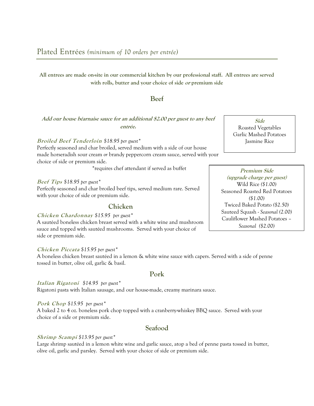**All entrees are made on-site in our commercial kitchen by our professional staff. All entrees are served with rolls, butter and your choice of side or premium side**

#### **Beef**

#### **Add our house béarnaise sauce for an additional \$2.00 per guest to any beef entrée.**

#### **Broiled Beef Tenderloin** *\$18.95 per guest\**

Perfectly seasoned and char broiled, served medium with a side of our house made horseradish sour cream *or* brandy peppercorn cream sauce, served with your choice of side or premium side.

\*requires chef attendant if served as buffet

#### **Beef Tips** *\$18.95 per guest\**

Perfectly seasoned and char broiled beef tips, served medium rare. Served with your choice of side or premium side.

#### **Chicken**

#### **Chicken Chardonnay** *\$15.95 per guest\**

A sautéed boneless chicken breast served with a white wine and mushroom sauce and topped with sautéed mushrooms. Served with your choice of side or premium side.

#### **Chicken Piccata** *\$15.95 per guest\**

A boneless chicken breast sautéed in a lemon & white wine sauce with capers. Served with a side of penne tossed in butter, olive oil, garlic & basil.

#### **Pork**

**Italian Rigatoni** *\$14.95 per guest\** Rigatoni pasta with Italian sausage, and our house-made, creamy marinara sauce.

#### **Pork Chop** *\$15.95 per guest\**

A baked 2 to 4 oz. boneless pork chop topped with a cranberry-whiskey BBQ sauce. Served with your choice of a side or premium side.

## **Seafood**

#### **Shrimp Scampi** *\$13.95 per guest\**

Large shrimp sautéed in a lemon white wine and garlic sauce, atop a bed of penne pasta tossed in butter, olive oil, garlic and parsley. Served with your choice of side or premium side.

**Side**  Roasted Vegetables Garlic Mashed Potatoes Jasmine Rice

**Premium Side (upgrade charge per guest)** Wild Rice *(\$1.00)* Seasoned Roasted Red Potatoes *(\$1.00)* Twiced Baked Potato *(\$2.50)* Sauteed Squash - *Seasonal (2.00)*  Cauliflower Mashed Potatoes – *Seasonal (\$2.00)*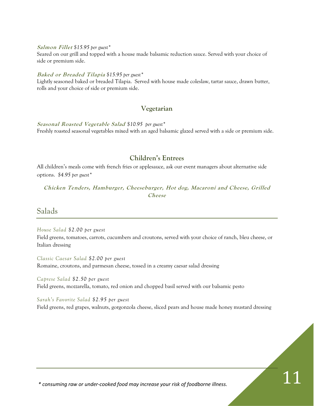**Salmon Fillet** *\$15.95 per guest\**

Seared on our grill and topped with a house made balsamic reduction sauce. Served with your choice of side or premium side.

#### **Baked or Breaded Tilapia** *\$15.95 per guest\**

Lightly seasoned baked or breaded Tilapia. Served with house made coleslaw, tartar sauce, drawn butter, rolls and your choice of side or premium side.

#### **Vegetarian**

**Seasonal Roasted Vegetable Salad** *\$10.95 per guest\** Freshly roasted seasonal vegetables mixed with an aged balsamic glazed served with a side or premium side.

#### **Children's Entrees**

All children's meals come with french fries or applesauce, ask our event managers about alternative side options. *\$4.95 per guest\**

**Chicken Tenders, Hamburger, Cheeseburger, Hot dog, Macaroni and Cheese, Grilled Cheese**

Salads

*House Salad \$2.00 per guest* 

Field greens, tomatoes, carrots, cucumbers and croutons, served with your choice of ranch, bleu cheese, or Italian dressing

*Classic Caesar Salad \$2.00 per guest*  Romaine, croutons, and parmesan cheese, tossed in a creamy caesar salad dressing

*Caprese Salad \$2.50 per guest*  Field greens, mozzarella, tomato, red onion and chopped basil served with our balsamic pesto

*Sarah's Favorite Salad \$2.95 per guest* 

Field greens, red grapes, walnuts, gorgonzola cheese, sliced pears and house made honey mustard dressing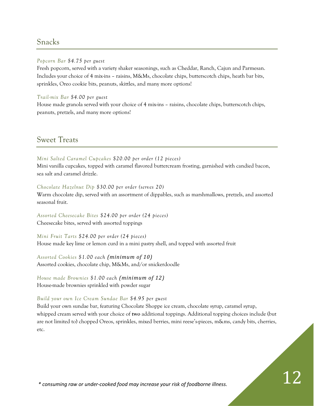# Snacks

#### *Popcorn Bar \$4.75 per guest*

Fresh popcorn, served with a variety shaker seasonings, such as Cheddar, Ranch, Cajun and Parmesan. Includes your choice of 4 mix-ins – raisins, M&Ms, chocolate chips, butterscotch chips, heath bar bits, sprinkles, Oreo cookie bits, peanuts, skittles, and many more options!

*Trail-mix Bar \$4.00 per guest* 

House made granola served with your choice of 4 mix-ins – raisins, chocolate chips, butterscotch chips, peanuts, pretzels, and many more options!

Sweet Treats

#### *Mini Salted Caramel Cupcakes \$20.00 per order (12 pieces)*

Mini vanilla cupcakes, topped with caramel flavored buttercream frosting, garnished with candied bacon, sea salt and caramel drizzle.

#### *Chocolate Hazelnut Dip \$30.00 per order (serves 20)*

Warm chocolate dip, served with an assortment of dippables, such as marshmallows, pretzels, and assorted seasonal fruit.

*Assorted Cheesecake Bites \$24.00 per order (24 pieces)*  Cheesecake bites, served with assorted toppings

*Mini Fruit Tarts \$24.00 per order (24 pieces)*  House made key lime or lemon curd in a mini pastry shell, and topped with assorted fruit

*Assorted Cookies \$1.00 each (minimum of 10)* Assorted cookies, chocolate chip, M&Ms, and/or snickerdoodle

*House made Brownies \$1.00 each (minimum of 12)* House-made brownies sprinkled with powder sugar

#### *Build your own Ice Cream Sundae Bar \$4.95 per guest*

Build your own sundae bar, featuring Chocolate Shoppe ice cream, chocolate syrup, caramel syrup, whipped cream served with your choice of **two** additional toppings. Additional topping choices include (but are not limited to) chopped Oreos, sprinkles, mixed berries, mini reese's-pieces, m&ms, candy bits, cherries, etc.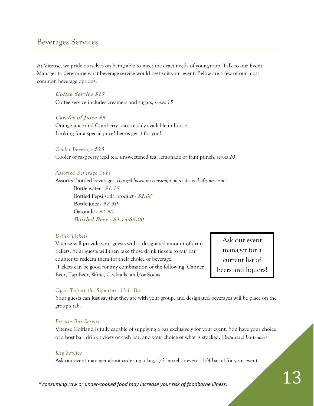# Beverages Services

At Vitense, we pride ourselves on being able to meet the exact needs of your group. Talk to our Event Manager to determine what beverage service would best suit your event. Below are a few of our most common beverage options.

**Coffee Service \$15** Coffee service includes creamers and sugars, *serves 15*

**Carafes of Juice \$5** Orange juice and Cranberry juice readily available in house. Looking for a special juice? Let us get it for you!

#### *Cooler Beverage \$25*

Cooler of raspberry iced tea, unsweetened tea, lemonade or fruit punch, *serves 20*

#### *Assorted Beverage Tubs*

Assorted bottled beverages, *charged based on consumption at the end of your event*.

Bottle water - **\$1.75** Bottled Pepsi soda product - **\$2.00** Bottle juice - **\$2.50** Gatorade - **\$2.50 Bottled Beer - \$3.75-\$6.00**

#### *Drink Tickets*

Vitense will provide your guests with a designated amount of drink tickets. Your guests will then take those drink tickets to our bar counter to redeem them for their choice of beverage.

Tickets can be good for any combination of the following: Canner Beer, Tap Beer, Wine, Cocktails, and/or Sodas.

Ask our event manager for a current list of beers and liquors!

#### *Open Tab at the Signature Hole Bar*

Your guests can just say that they are with your group, and designated beverages will be place on the group's tab.

#### *Private Bar Service*

Vitense Golfland is fully capable of supplying a bar exclusively for your event. You have your choice of a host bar, drink tickets or cash bar, and your choice of what is stocked. *(Requires a Bartender)*

#### *Keg Service*

Ask our event manager about ordering a keg, 1/2 barrel or even a 1/4 barrel for your event.